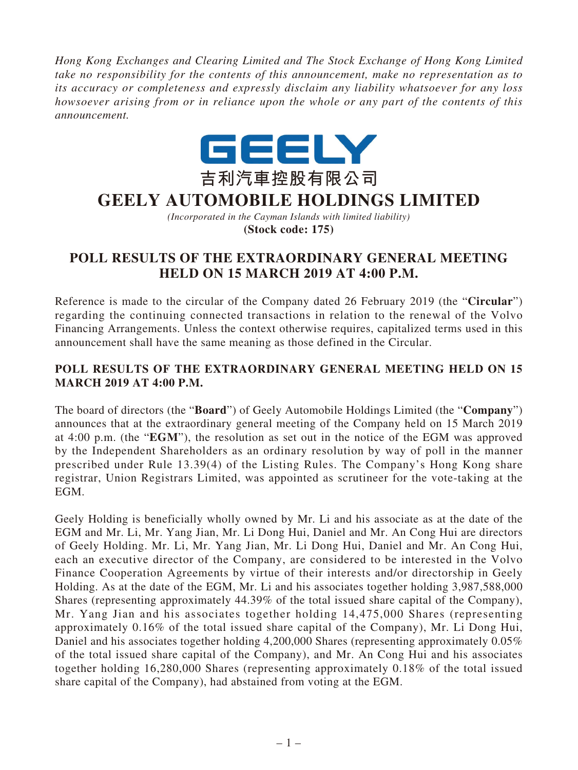*Hong Kong Exchanges and Clearing Limited and The Stock Exchange of Hong Kong Limited take no responsibility for the contents of this announcement, make no representation as to its accuracy or completeness and expressly disclaim any liability whatsoever for any loss howsoever arising from or in reliance upon the whole or any part of the contents of this announcement.*



## **GEELY AUTOMOBILE HOLDINGS LIMITED**

*(Incorporated in the Cayman Islands with limited liability)* **(Stock code: 175)**

## **POLL RESULTS OF THE EXTRAORDINARY GENERAL MEETING HELD ON 15 MARCH 2019 AT 4:00 P.M.**

Reference is made to the circular of the Company dated 26 February 2019 (the "**Circular**") regarding the continuing connected transactions in relation to the renewal of the Volvo Financing Arrangements. Unless the context otherwise requires, capitalized terms used in this announcement shall have the same meaning as those defined in the Circular.

## **POLL RESULTS OF THE EXTRAORDINARY GENERAL MEETING HELD ON 15 MARCH 2019 AT 4:00 P.M.**

The board of directors (the "**Board**") of Geely Automobile Holdings Limited (the "**Company**") announces that at the extraordinary general meeting of the Company held on 15 March 2019 at 4:00 p.m. (the "**EGM**"), the resolution as set out in the notice of the EGM was approved by the Independent Shareholders as an ordinary resolution by way of poll in the manner prescribed under Rule 13.39(4) of the Listing Rules. The Company's Hong Kong share registrar, Union Registrars Limited, was appointed as scrutineer for the vote-taking at the EGM.

Geely Holding is beneficially wholly owned by Mr. Li and his associate as at the date of the EGM and Mr. Li, Mr. Yang Jian, Mr. Li Dong Hui, Daniel and Mr. An Cong Hui are directors of Geely Holding. Mr. Li, Mr. Yang Jian, Mr. Li Dong Hui, Daniel and Mr. An Cong Hui, each an executive director of the Company, are considered to be interested in the Volvo Finance Cooperation Agreements by virtue of their interests and/or directorship in Geely Holding. As at the date of the EGM, Mr. Li and his associates together holding 3,987,588,000 Shares (representing approximately 44.39% of the total issued share capital of the Company), Mr. Yang Jian and his associates together holding 14,475,000 Shares (representing approximately 0.16% of the total issued share capital of the Company), Mr. Li Dong Hui, Daniel and his associates together holding 4,200,000 Shares (representing approximately 0.05%) of the total issued share capital of the Company), and Mr. An Cong Hui and his associates together holding 16,280,000 Shares (representing approximately 0.18% of the total issued share capital of the Company), had abstained from voting at the EGM.